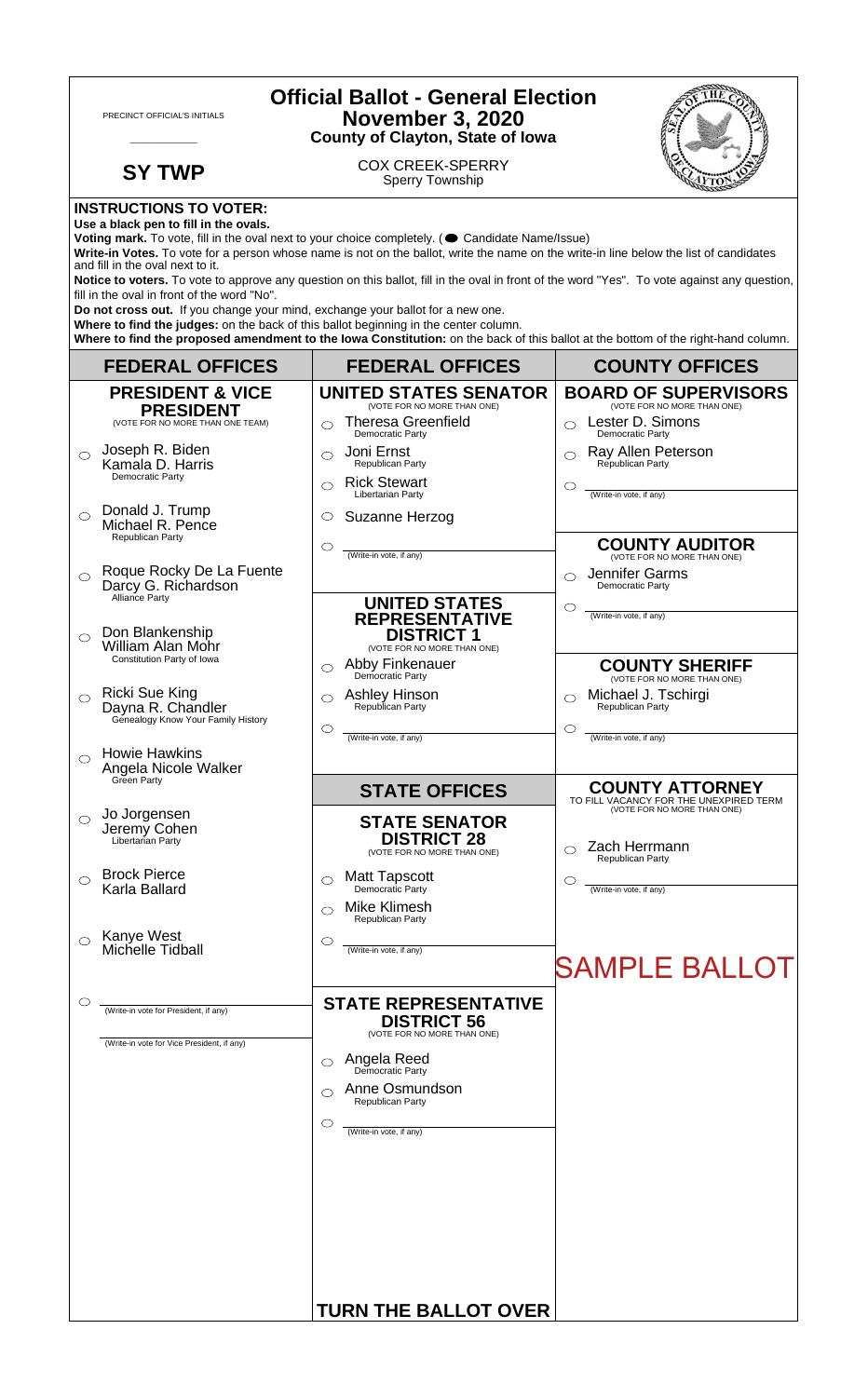| <b>Official Ballot - General Election</b><br><b>November 3, 2020</b><br>PRECINCT OFFICIAL'S INITIALS<br><b>County of Clayton, State of Iowa</b> |                                                                                                                               |                                                                                                                                                                                                                                                                                                                                                                           |                                                                                                 |  |
|-------------------------------------------------------------------------------------------------------------------------------------------------|-------------------------------------------------------------------------------------------------------------------------------|---------------------------------------------------------------------------------------------------------------------------------------------------------------------------------------------------------------------------------------------------------------------------------------------------------------------------------------------------------------------------|-------------------------------------------------------------------------------------------------|--|
|                                                                                                                                                 | <b>SY TWP</b>                                                                                                                 | <b>COX CREEK-SPERRY</b><br><b>Sperry Township</b>                                                                                                                                                                                                                                                                                                                         |                                                                                                 |  |
|                                                                                                                                                 | <b>INSTRUCTIONS TO VOTER:</b><br>Use a black pen to fill in the ovals.<br>and fill in the oval next to it.                    | Voting mark. To vote, fill in the oval next to your choice completely. ( Candidate Name/Issue)<br>Write-in Votes. To vote for a person whose name is not on the ballot, write the name on the write-in line below the list of candidates                                                                                                                                  |                                                                                                 |  |
|                                                                                                                                                 | fill in the oval in front of the word "No".<br>Do not cross out. If you change your mind, exchange your ballot for a new one. | Notice to voters. To vote to approve any question on this ballot, fill in the oval in front of the word "Yes". To vote against any question,<br>Where to find the judges: on the back of this ballot beginning in the center column.<br>Where to find the proposed amendment to the lowa Constitution: on the back of this ballot at the bottom of the right-hand column. |                                                                                                 |  |
|                                                                                                                                                 | <b>FEDERAL OFFICES</b>                                                                                                        | <b>FEDERAL OFFICES</b>                                                                                                                                                                                                                                                                                                                                                    | <b>COUNTY OFFICES</b>                                                                           |  |
|                                                                                                                                                 | <b>PRESIDENT &amp; VICE</b><br><b>PRESIDENT</b>                                                                               | <b>UNITED STATES SENATOR</b><br>(VOTE FOR NO MORE THAN ONE)                                                                                                                                                                                                                                                                                                               | <b>BOARD OF SUPERVISORS</b><br>(VOTE FOR NO MORE THAN ONE)                                      |  |
| ⌒                                                                                                                                               | (VOTE FOR NO MORE THAN ONE TEAM)<br>Joseph R. Biden<br>Kamala D. Harris<br>Democratic Party                                   | <b>Theresa Greenfield</b><br>⌒<br>Democratic Party<br>Joni Ernst<br>⌒<br>Republican Party<br><b>Rick Stewart</b><br>⌒                                                                                                                                                                                                                                                     | Lester D. Simons<br>Democratic Party<br>Ray Allen Peterson<br>⌒<br>Republican Party<br>O        |  |
| $\bigcirc$                                                                                                                                      | Donald J. Trump<br>Michael R. Pence<br>Republican Party                                                                       | Libertarian Party<br>Suzanne Herzog<br>O<br>◯                                                                                                                                                                                                                                                                                                                             | (Write-in vote, if any)<br><b>COUNTY AUDITOR</b>                                                |  |
| $\bigcirc$                                                                                                                                      | Roque Rocky De La Fuente<br>Darcy G. Richardson<br>Alliance Party                                                             | (Write-in vote, if any)<br><b>UNITED STATES</b>                                                                                                                                                                                                                                                                                                                           | Jennifer Garms<br>◯<br>Democratic Party<br>O                                                    |  |
| $\bigcirc$                                                                                                                                      | Don Blankenship<br>William Alan Mohr<br>Constitution Party of Iowa                                                            | <b>REPRESENTATIVE</b><br><b>DISTRICT 1</b><br>(VOTE FOR NO MORE THAN ONE)<br>Abby Finkenauer<br>⌒                                                                                                                                                                                                                                                                         | (Write-in vote, if any)<br><b>COUNTY SHERIFF</b>                                                |  |
| $\bigcirc$                                                                                                                                      | <b>Ricki Sue King</b><br>Dayna R. Chandler<br>Genealogy Know Your Family History                                              | Democratic Party<br>Ashley Hinson<br>Republican Party<br>◯<br>◯                                                                                                                                                                                                                                                                                                           | (VOTE FOR NO MORE THAN ONE)<br>Michael J. Tschirgi<br>Republican Party<br>O                     |  |
| $\circ$                                                                                                                                         | <b>Howie Hawkins</b><br>Angela Nicole Walker<br>Green Party                                                                   | (Write-in vote, if any)                                                                                                                                                                                                                                                                                                                                                   | (Write-in vote, if any)                                                                         |  |
| $\circ$                                                                                                                                         | Jo Jorgensen                                                                                                                  | <b>STATE OFFICES</b><br><b>STATE SENATOR</b>                                                                                                                                                                                                                                                                                                                              | <b>COUNTY ATTORNEY</b><br>TO FILL VACANCY FOR THE UNEXPIRED TERM<br>(VOTE FOR NO MORE THAN ONE) |  |
|                                                                                                                                                 | Jeremy Cohen<br>Libertarian Party                                                                                             | <b>DISTRICT 28</b><br>(VOTE FOR NO MORE THAN ONE)                                                                                                                                                                                                                                                                                                                         | Zach Herrmann<br>Republican Party                                                               |  |
| ◯                                                                                                                                               | <b>Brock Pierce</b><br>Karla Ballard                                                                                          | <b>Matt Tapscott</b><br>⌒<br>Democratic Party<br>Mike Klimesh                                                                                                                                                                                                                                                                                                             | O<br>(Write-in vote, if any)                                                                    |  |
| $\bigcirc$                                                                                                                                      | Kanye West<br>Michelle Tidball                                                                                                | <b>Republican Party</b><br>O<br>(Write-in vote, if any)                                                                                                                                                                                                                                                                                                                   | <b>SAMPLE BALLOT</b>                                                                            |  |
| O                                                                                                                                               | (Write-in vote for President, if any)<br>(Write-in vote for Vice President, if any)                                           | <b>STATE REPRESENTATIVE</b><br><b>DISTRICT 56</b><br>(VOTE FOR NO MORE THAN ONE)                                                                                                                                                                                                                                                                                          |                                                                                                 |  |
|                                                                                                                                                 |                                                                                                                               | Angela Reed<br>Democratic Party<br>◯<br>Anne Osmundson<br><b>Republican Party</b>                                                                                                                                                                                                                                                                                         |                                                                                                 |  |
|                                                                                                                                                 |                                                                                                                               | O<br>(Write-in vote, if any)                                                                                                                                                                                                                                                                                                                                              |                                                                                                 |  |
|                                                                                                                                                 |                                                                                                                               |                                                                                                                                                                                                                                                                                                                                                                           |                                                                                                 |  |
|                                                                                                                                                 |                                                                                                                               | <b>TURN THE BALLOT OVER</b>                                                                                                                                                                                                                                                                                                                                               |                                                                                                 |  |